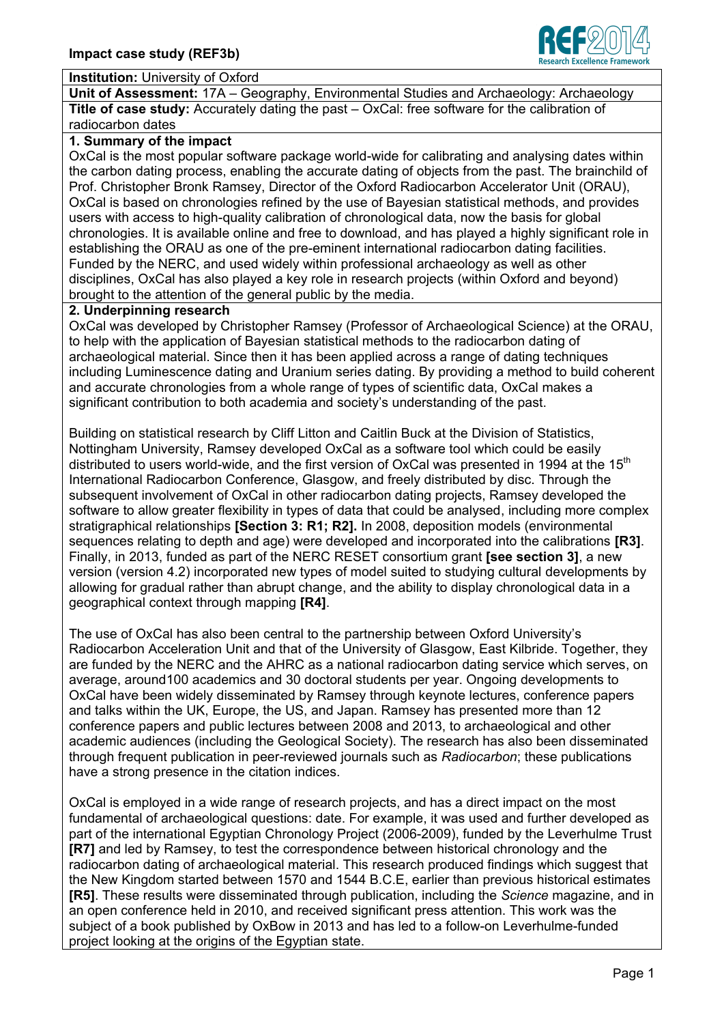

#### **Institution:** University of Oxford

**Unit of Assessment:** 17A – Geography, Environmental Studies and Archaeology: Archaeology **Title of case study:** Accurately dating the past – OxCal: free software for the calibration of radiocarbon dates

#### **1. Summary of the impact**

OxCal is the most popular software package world-wide for calibrating and analysing dates within the carbon dating process, enabling the accurate dating of objects from the past. The brainchild of Prof. Christopher Bronk Ramsey, Director of the Oxford Radiocarbon Accelerator Unit (ORAU), OxCal is based on chronologies refined by the use of Bayesian statistical methods, and provides users with access to high-quality calibration of chronological data, now the basis for global chronologies. It is available online and free to download, and has played a highly significant role in establishing the ORAU as one of the pre-eminent international radiocarbon dating facilities. Funded by the NERC, and used widely within professional archaeology as well as other disciplines, OxCal has also played a key role in research projects (within Oxford and beyond) brought to the attention of the general public by the media.

#### **2. Underpinning research**

OxCal was developed by Christopher Ramsey (Professor of Archaeological Science) at the ORAU, to help with the application of Bayesian statistical methods to the radiocarbon dating of archaeological material. Since then it has been applied across a range of dating techniques including Luminescence dating and Uranium series dating. By providing a method to build coherent and accurate chronologies from a whole range of types of scientific data, OxCal makes a significant contribution to both academia and society's understanding of the past.

Building on statistical research by Cliff Litton and Caitlin Buck at the Division of Statistics, Nottingham University, Ramsey developed OxCal as a software tool which could be easily distributed to users world-wide, and the first version of OxCal was presented in 1994 at the 15<sup>th</sup> International Radiocarbon Conference, Glasgow, and freely distributed by disc. Through the subsequent involvement of OxCal in other radiocarbon dating projects, Ramsey developed the software to allow greater flexibility in types of data that could be analysed, including more complex stratigraphical relationships **[Section 3: R1; R2].** In 2008, deposition models (environmental sequences relating to depth and age) were developed and incorporated into the calibrations **[R3]**. Finally, in 2013, funded as part of the NERC RESET consortium grant **[see section 3]**, a new version (version 4.2) incorporated new types of model suited to studying cultural developments by allowing for gradual rather than abrupt change, and the ability to display chronological data in a geographical context through mapping **[R4]**.

The use of OxCal has also been central to the partnership between Oxford University's Radiocarbon Acceleration Unit and that of the University of Glasgow, East Kilbride. Together, they are funded by the NERC and the AHRC as a national radiocarbon dating service which serves, on average, around100 academics and 30 doctoral students per year. Ongoing developments to OxCal have been widely disseminated by Ramsey through keynote lectures, conference papers and talks within the UK, Europe, the US, and Japan. Ramsey has presented more than 12 conference papers and public lectures between 2008 and 2013, to archaeological and other academic audiences (including the Geological Society). The research has also been disseminated through frequent publication in peer-reviewed journals such as *Radiocarbon*; these publications have a strong presence in the citation indices.

OxCal is employed in a wide range of research projects, and has a direct impact on the most fundamental of archaeological questions: date. For example, it was used and further developed as part of the international Egyptian Chronology Project (2006-2009), funded by the Leverhulme Trust **[R7]** and led by Ramsey, to test the correspondence between historical chronology and the radiocarbon dating of archaeological material. This research produced findings which suggest that the New Kingdom started between 1570 and 1544 B.C.E, earlier than previous historical estimates **[R5]**. These results were disseminated through publication, including the *Science* magazine, and in an open conference held in 2010, and received significant press attention. This work was the subject of a book published by OxBow in 2013 and has led to a follow-on Leverhulme-funded project looking at the origins of the Egyptian state.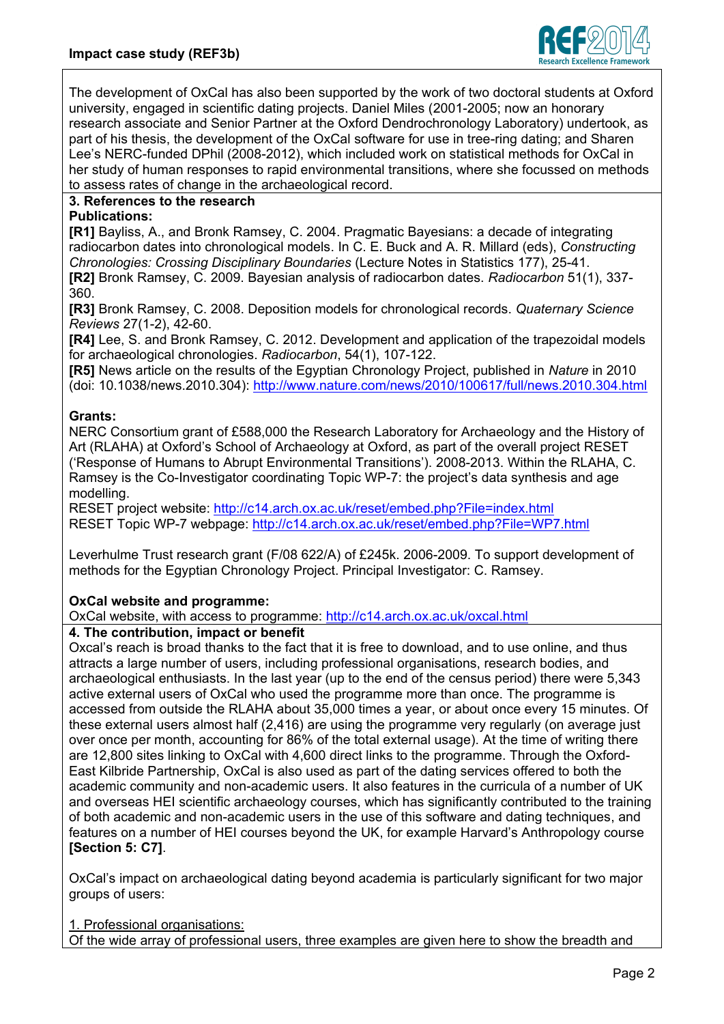

The development of OxCal has also been supported by the work of two doctoral students at Oxford university, engaged in scientific dating projects. Daniel Miles (2001-2005; now an honorary research associate and Senior Partner at the Oxford Dendrochronology Laboratory) undertook, as part of his thesis, the development of the OxCal software for use in tree-ring dating; and Sharen Lee's NERC-funded DPhil (2008-2012), which included work on statistical methods for OxCal in her study of human responses to rapid environmental transitions, where she focussed on methods to assess rates of change in the archaeological record.

# **3. References to the research**

### **Publications:**

**[R1]** Bayliss, A., and Bronk Ramsey, C. 2004. Pragmatic Bayesians: a decade of integrating radiocarbon dates into chronological models. In C. E. Buck and A. R. Millard (eds), *Constructing Chronologies: Crossing Disciplinary Boundaries* (Lecture Notes in Statistics 177), 25-41. **[R2]** Bronk Ramsey, C. 2009. Bayesian analysis of radiocarbon dates. *Radiocarbon* 51(1), 337- 360.

**[R3]** Bronk Ramsey, C. 2008. Deposition models for chronological records. *Quaternary Science Reviews* 27(1-2), 42-60.

**[R4]** Lee, S. and Bronk Ramsey, C. 2012. Development and application of the trapezoidal models for archaeological chronologies. *Radiocarbon*, 54(1), 107-122.

**[R5]** News article on the results of the Egyptian Chronology Project, published in *Nature* in 2010 (doi: 10.1038/news.2010.304):<http://www.nature.com/news/2010/100617/full/news.2010.304.html>

## **Grants:**

NERC Consortium grant of £588,000 the Research Laboratory for Archaeology and the History of Art (RLAHA) at Oxford's School of Archaeology at Oxford, as part of the overall project RESET ('Response of Humans to Abrupt Environmental Transitions'). 2008-2013. Within the RLAHA, C. Ramsey is the Co-Investigator coordinating Topic WP-7: the project's data synthesis and age modelling.

RESET project website:<http://c14.arch.ox.ac.uk/reset/embed.php?File=index.html> RESET Topic WP-7 webpage:<http://c14.arch.ox.ac.uk/reset/embed.php?File=WP7.html>

Leverhulme Trust research grant (F/08 622/A) of £245k. 2006-2009. To support development of methods for the Egyptian Chronology Project. Principal Investigator: C. Ramsey.

## **OxCal website and programme:**

OxCal website, with access to programme: <http://c14.arch.ox.ac.uk/oxcal.html>

## **4. The contribution, impact or benefit**

Oxcal's reach is broad thanks to the fact that it is free to download, and to use online, and thus attracts a large number of users, including professional organisations, research bodies, and archaeological enthusiasts. In the last year (up to the end of the census period) there were 5,343 active external users of OxCal who used the programme more than once. The programme is accessed from outside the RLAHA about 35,000 times a year, or about once every 15 minutes. Of these external users almost half (2,416) are using the programme very regularly (on average just over once per month, accounting for 86% of the total external usage). At the time of writing there are 12,800 sites linking to OxCal with 4,600 direct links to the programme. Through the Oxford-East Kilbride Partnership, OxCal is also used as part of the dating services offered to both the academic community and non-academic users. It also features in the curricula of a number of UK and overseas HEI scientific archaeology courses, which has significantly contributed to the training of both academic and non-academic users in the use of this software and dating techniques, and features on a number of HEI courses beyond the UK, for example Harvard's Anthropology course **[Section 5: C7]**.

OxCal's impact on archaeological dating beyond academia is particularly significant for two major groups of users:

1. Professional organisations:

Of the wide array of professional users, three examples are given here to show the breadth and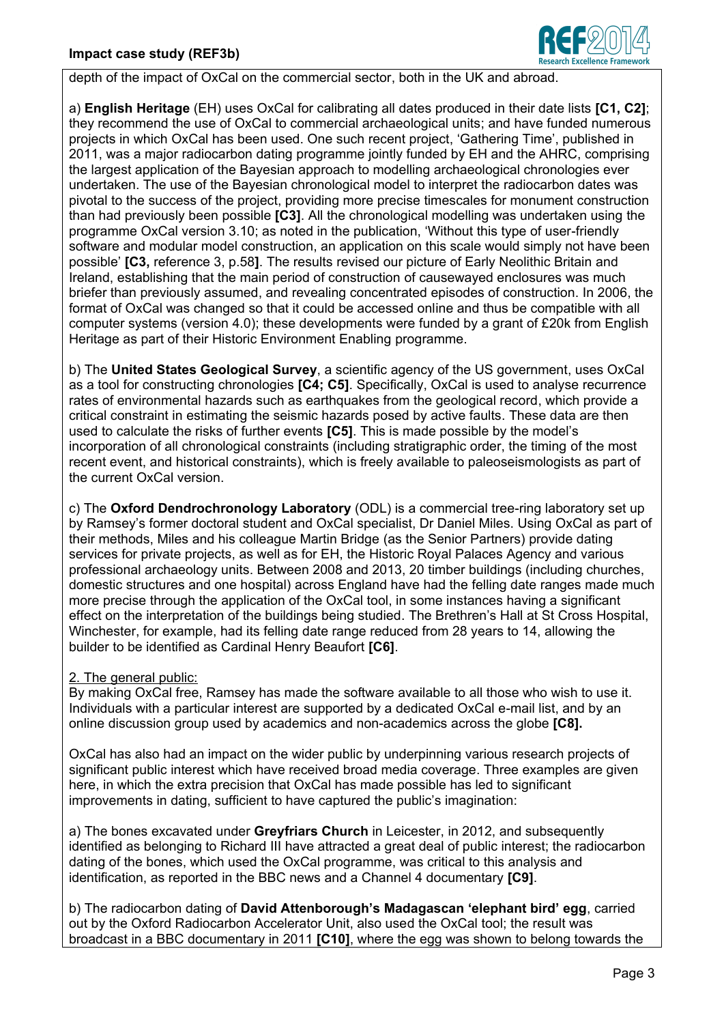

depth of the impact of OxCal on the commercial sector, both in the UK and abroad.

a) **English Heritage** (EH) uses OxCal for calibrating all dates produced in their date lists **[C1, C2]**; they recommend the use of OxCal to commercial archaeological units; and have funded numerous projects in which OxCal has been used. One such recent project, 'Gathering Time', published in 2011, was a major radiocarbon dating programme jointly funded by EH and the AHRC, comprising the largest application of the Bayesian approach to modelling archaeological chronologies ever undertaken. The use of the Bayesian chronological model to interpret the radiocarbon dates was pivotal to the success of the project, providing more precise timescales for monument construction than had previously been possible **[C3]**. All the chronological modelling was undertaken using the programme OxCal version 3.10; as noted in the publication, 'Without this type of user-friendly software and modular model construction, an application on this scale would simply not have been possible' **[C3,** reference 3, p.58**]**. The results revised our picture of Early Neolithic Britain and Ireland, establishing that the main period of construction of causewayed enclosures was much briefer than previously assumed, and revealing concentrated episodes of construction. In 2006, the format of OxCal was changed so that it could be accessed online and thus be compatible with all computer systems (version 4.0); these developments were funded by a grant of £20k from English Heritage as part of their Historic Environment Enabling programme.

b) The **United States Geological Survey**, a scientific agency of the US government, uses OxCal as a tool for constructing chronologies **[C4; C5]**. Specifically, OxCal is used to analyse recurrence rates of environmental hazards such as earthquakes from the geological record, which provide a critical constraint in estimating the seismic hazards posed by active faults. These data are then used to calculate the risks of further events **[C5]**. This is made possible by the model's incorporation of all chronological constraints (including stratigraphic order, the timing of the most recent event, and historical constraints), which is freely available to paleoseismologists as part of the current OxCal version.

c) The **Oxford Dendrochronology Laboratory** (ODL) is a commercial tree-ring laboratory set up by Ramsey's former doctoral student and OxCal specialist, Dr Daniel Miles. Using OxCal as part of their methods, Miles and his colleague Martin Bridge (as the Senior Partners) provide dating services for private projects, as well as for EH, the Historic Royal Palaces Agency and various professional archaeology units. Between 2008 and 2013, 20 timber buildings (including churches, domestic structures and one hospital) across England have had the felling date ranges made much more precise through the application of the OxCal tool, in some instances having a significant effect on the interpretation of the buildings being studied. The Brethren's Hall at St Cross Hospital, Winchester, for example, had its felling date range reduced from 28 years to 14, allowing the builder to be identified as Cardinal Henry Beaufort **[C6]**.

# 2. The general public:

By making OxCal free, Ramsey has made the software available to all those who wish to use it. Individuals with a particular interest are supported by a dedicated OxCal e-mail list, and by an online discussion group used by academics and non-academics across the globe **[C8].**

OxCal has also had an impact on the wider public by underpinning various research projects of significant public interest which have received broad media coverage. Three examples are given here, in which the extra precision that OxCal has made possible has led to significant improvements in dating, sufficient to have captured the public's imagination:

a) The bones excavated under **Greyfriars Church** in Leicester, in 2012, and subsequently identified as belonging to Richard III have attracted a great deal of public interest; the radiocarbon dating of the bones, which used the OxCal programme, was critical to this analysis and identification, as reported in the BBC news and a Channel 4 documentary **[C9]**.

b) The radiocarbon dating of **David Attenborough's Madagascan 'elephant bird' egg**, carried out by the Oxford Radiocarbon Accelerator Unit, also used the OxCal tool; the result was broadcast in a BBC documentary in 2011 **[C10]**, where the egg was shown to belong towards the